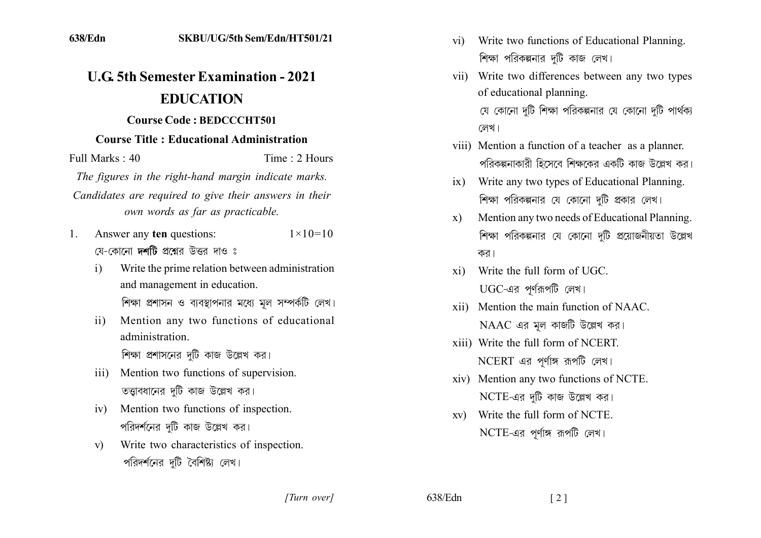## **U.G. 5th Semester Examination - 2021 EDUCATION**

## **Course Code: BEDCCCHT501**

## **Course Title: Educational Administration**

Time: 2 Hours Full Marks  $\cdot$  40

The figures in the right-hand margin indicate marks.

Candidates are required to give their answers in their own words as far as practicable.

- Answer any ten questions:  $1 \times 10 = 10$  $1_{-}$ যে-কোনো **দর্শটি** প্রশ্নের উত্তর দাও ঃ
	- Write the prime relation between administration  $\mathbf{i}$ and management in education. শিক্ষা প্রশাসন ও ব্যবস্থাপনার মধ্যে মূল সম্পর্কটি লেখ।
	- Mention any two functions of educational  $\overline{11}$ administration

শিক্ষা প্রশাসনের দটি কাজ উল্লেখ কর।

- Mention two functions of supervision.  $\overline{111}$ তত্তাবধানের দটি কাজ উল্লেখ কর।
- iv) Mention two functions of inspection. পরিদর্শনের দটি কাজ উল্লেখ কর।
- Write two characteristics of inspection.  $\mathbf{v}$ পরিদর্শনের দটি বৈশিষ্ট্য লেখ।
- vi) Write two functions of Educational Planning. শিক্ষা পরিকল্পনার দটি কাজ লেখ।
- vii) Write two differences between any two types of educational planning. যে কোনো দুটি শিক্ষা পরিকল্পনার যে কোনো দুটি পার্থক্য লেখ।
- viii) Mention a function of a teacher as a planner. পরিকল্পনাকারী হিসেবে শিক্ষকের একটি কাজ উল্লেখ কর।
- ix) Write any two types of Educational Planning. শিক্ষা পরিকল্পনার যে কোনো দুটি প্রকার লেখ।
- Mention any two needs of Educational Planning.  $\mathbf{X}$ শিক্ষা পরিকল্পনার যে কোনো দটি প্রয়োজনীয়তা উল্লেখ কর।
- Write the full form of UGC.  $\overline{x}$ <sup>1</sup>  $UGC$ -এর পূর্ণরূপটি লেখ।
- Mention the main function of NAAC  $\overline{x}$  ii)  $NAAC$  এর মূল কাজটি উল্লেখ কর।
- xiii) Write the full form of NCERT.  $NCERT$  এর পূর্ণাঙ্গ রূপটি লেখ।
- xiv) Mention any two functions of NCTE.  $NCTE$ -এর দুটি কাজ উল্লেখ কর।
- xy) Write the full form of NCTE.  $NCTE$ -এর পূর্ণাঙ্গ রূপটি লেখ।

[Turn over]

638/Edn